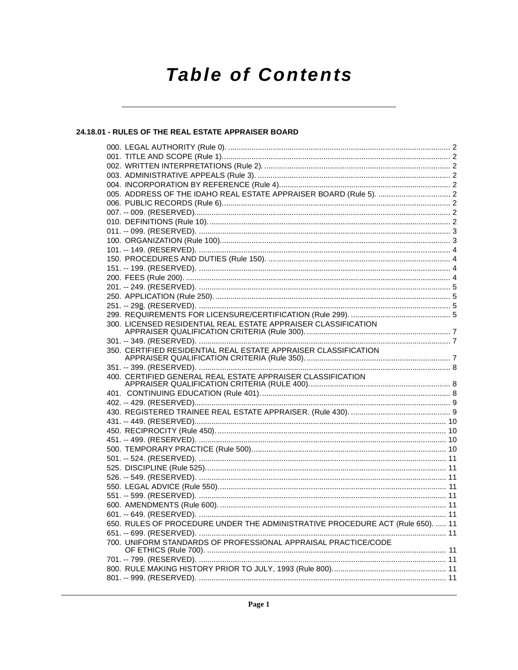# **Table of Contents**

# 24.18.01 - RULES OF THE REAL ESTATE APPRAISER BOARD

| 300. LICENSED RESIDENTIAL REAL ESTATE APPRAISER CLASSIFICATION                                                                                   |  |
|--------------------------------------------------------------------------------------------------------------------------------------------------|--|
|                                                                                                                                                  |  |
|                                                                                                                                                  |  |
| 350. CERTIFIED RESIDENTIAL REAL ESTATE APPRAISER CLASSIFICATION                                                                                  |  |
|                                                                                                                                                  |  |
| 400. CERTIFIED GENERAL REAL ESTATE APPRAISER CLASSIFICATION                                                                                      |  |
|                                                                                                                                                  |  |
|                                                                                                                                                  |  |
|                                                                                                                                                  |  |
|                                                                                                                                                  |  |
|                                                                                                                                                  |  |
|                                                                                                                                                  |  |
|                                                                                                                                                  |  |
|                                                                                                                                                  |  |
|                                                                                                                                                  |  |
|                                                                                                                                                  |  |
|                                                                                                                                                  |  |
|                                                                                                                                                  |  |
|                                                                                                                                                  |  |
|                                                                                                                                                  |  |
|                                                                                                                                                  |  |
|                                                                                                                                                  |  |
|                                                                                                                                                  |  |
|                                                                                                                                                  |  |
|                                                                                                                                                  |  |
|                                                                                                                                                  |  |
|                                                                                                                                                  |  |
|                                                                                                                                                  |  |
| 650. RULES OF PROCEDURE UNDER THE ADMINISTRATIVE PROCEDURE ACT (Rule 650).  11<br>700. UNIFORM STANDARDS OF PROFESSIONAL APPRAISAL PRACTICE/CODE |  |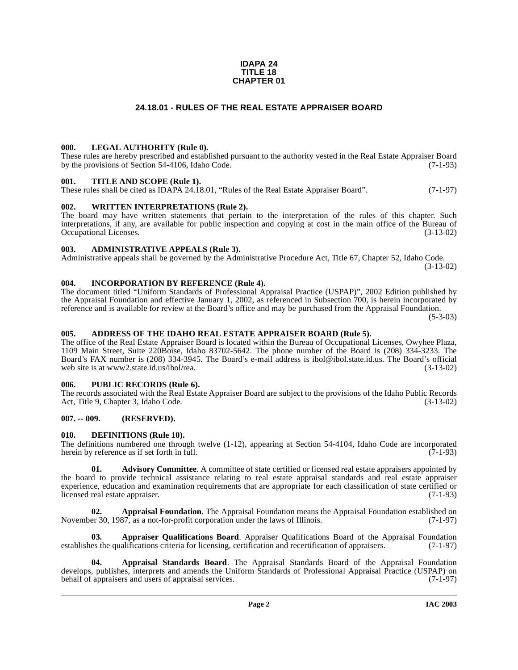#### **IDAPA 24 TITLE 18 CHAPTER 01**

# **24.18.01 - RULES OF THE REAL ESTATE APPRAISER BOARD**

#### <span id="page-1-1"></span><span id="page-1-0"></span>**000. LEGAL AUTHORITY (Rule 0).**

These rules are hereby prescribed and established pursuant to the authority vested in the Real Estate Appraiser Board by the provisions of Section 54-4106, Idaho Code. (7-1-93)

#### <span id="page-1-2"></span>**001. TITLE AND SCOPE (Rule 1).**

These rules shall be cited as IDAPA 24.18.01, "Rules of the Real Estate Appraiser Board". (7-1-97)

### <span id="page-1-3"></span>**002. WRITTEN INTERPRETATIONS (Rule 2).**

The board may have written statements that pertain to the interpretation of the rules of this chapter. Such interpretations, if any, are available for public inspection and copying at cost in the main office of the Bureau of Occupational Licenses. (3-13-02) Occupational Licenses.

#### <span id="page-1-4"></span>**003. ADMINISTRATIVE APPEALS (Rule 3).**

Administrative appeals shall be governed by the Administrative Procedure Act, Title 67, Chapter 52, Idaho Code. (3-13-02)

<span id="page-1-5"></span>**004. INCORPORATION BY REFERENCE (Rule 4).**

The document titled "Uniform Standards of Professional Appraisal Practice (USPAP)", 2002 Edition published by the Appraisal Foundation and effective January 1, 2002, as referenced in Subsection 700, is herein incorporated by reference and is available for review at the Board's office and may be purchased from the Appraisal Foundation.

(5-3-03)

#### <span id="page-1-6"></span>**005. ADDRESS OF THE IDAHO REAL ESTATE APPRAISER BOARD (Rule 5).**

[The office of the Real Estate Appraiser Board is located within the Bureau of Occupational Licenses, Owyhee Plaza,](http://www2.state.id.us/ibol/rea) 1109 Main Street, Suite 220Boise, Idaho 83702-5642. The phone number of the Board is (208) 334-3233. The Board's FAX number is (208) 334-3945. The Board's e-mail address is ibol@ibol.state.id.us. The Board's official web site is at www2.state.id.us/ibol/rea. (3-13-02)

#### <span id="page-1-7"></span>**006. PUBLIC RECORDS (Rule 6).**

The records associated with the Real Estate Appraiser Board are subject to the provisions of the Idaho Public Records Act, Title 9, Chapter 3, Idaho Code. (3-13-02)

## <span id="page-1-8"></span>**007. -- 009. (RESERVED).**

#### <span id="page-1-14"></span><span id="page-1-9"></span>**010. DEFINITIONS (Rule 10).**

The definitions numbered one through twelve (1-12), appearing at Section 54-4104, Idaho Code are incorporated herein by reference as if set forth in full. (7-1-93) herein by reference as if set forth in full.

<span id="page-1-10"></span>**01.** Advisory Committee. A committee of state certified or licensed real estate appraisers appointed by the board to provide technical assistance relating to real estate appraisal standards and real estate appraiser experience, education and examination requirements that are appropriate for each classification of state certified or licensed real estate appraiser. (7-1-93)

<span id="page-1-11"></span>**02. Appraisal Foundation**. The Appraisal Foundation means the Appraisal Foundation established on er 30. 1987, as a not-for-profit corporation under the laws of Illinois. (7-1-97) November 30, 1987, as a not-for-profit corporation under the laws of Illinois.

<span id="page-1-13"></span>**03. Appraiser Qualifications Board**. Appraiser Qualifications Board of the Appraisal Foundation es the qualifications criteria for licensing, certification and recertification of appraisers. (7-1-97) establishes the qualifications criteria for licensing, certification and recertification of appraisers.

<span id="page-1-12"></span>**04. Appraisal Standards Board**. The Appraisal Standards Board of the Appraisal Foundation develops, publishes, interprets and amends the Uniform Standards of Professional Appraisal Practice (USPAP) on behalf of appraisers and users of appraisal services. (7-1-97) behalf of appraisers and users of appraisal services.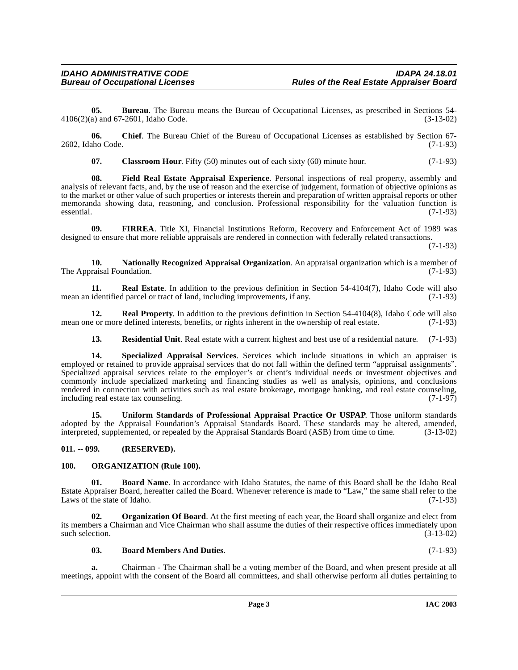**05. Bureau**. The Bureau means the Bureau of Occupational Licenses, as prescribed in Sections 54- 4106(2)(a) and 67-2601, Idaho Code. (3-13-02)

**06. Chief**. The Bureau Chief of the Bureau of Occupational Licenses as established by Section 67- 2602, Idaho Code. (7-1-93)

<span id="page-2-6"></span><span id="page-2-4"></span>**07.** Classroom Hour. Fifty (50) minutes out of each sixty (60) minute hour. (7-1-93)

**08. Field Real Estate Appraisal Experience**. Personal inspections of real property, assembly and analysis of relevant facts, and, by the use of reason and the exercise of judgement, formation of objective opinions as to the market or other value of such properties or interests therein and preparation of written appraisal reports or other memoranda showing data, reasoning, and conclusion. Professional responsibility for the valuation function is essential. (7-1-93)  $e$ ssential.  $(7-1-93)$ 

<span id="page-2-5"></span>**09. FIRREA**. Title XI, Financial Institutions Reform, Recovery and Enforcement Act of 1989 was designed to ensure that more reliable appraisals are rendered in connection with federally related transactions.

(7-1-93)

<span id="page-2-7"></span>**10. Nationally Recognized Appraisal Organization**. An appraisal organization which is a member of The Appraisal Foundation. (7-1-93)

<span id="page-2-10"></span>**11. Real Estate**. In addition to the previous definition in Section 54-4104(7), Idaho Code will also mean an identified parcel or tract of land, including improvements, if any. (7-1-93)

**12. Real Property**. In addition to the previous definition in Section 54-4104(8), Idaho Code will also e or more defined interests, benefits, or rights inherent in the ownership of real estate. (7-1-93) mean one or more defined interests, benefits, or rights inherent in the ownership of real estate.

<span id="page-2-13"></span><span id="page-2-12"></span><span id="page-2-11"></span>**13. Residential Unit**. Real estate with a current highest and best use of a residential nature. (7-1-93)

**14. Specialized Appraisal Services**. Services which include situations in which an appraiser is employed or retained to provide appraisal services that do not fall within the defined term "appraisal assignments". Specialized appraisal services relate to the employer's or client's individual needs or investment objectives and commonly include specialized marketing and financing studies as well as analysis, opinions, and conclusions rendered in connection with activities such as real estate brokerage, mortgage banking, and real estate counseling, including real estate tax counseling. (7-1-97) including real estate tax counseling.

<span id="page-2-14"></span>**15. Uniform Standards of Professional Appraisal Practice Or USPAP**. Those uniform standards adopted by the Appraisal Foundation's Appraisal Standards Board. These standards may be altered, amended, interpreted, supplemented, or repealed by the Appraisal Standards Board (ASB) from time to time. (3-13-02)

#### <span id="page-2-0"></span>**011. -- 099. (RESERVED).**

# <span id="page-2-9"></span><span id="page-2-1"></span>**100. ORGANIZATION (Rule 100).**

<span id="page-2-3"></span>**01. Board Name**. In accordance with Idaho Statutes, the name of this Board shall be the Idaho Real Estate Appraiser Board, hereafter called the Board. Whenever reference is made to "Law," the same shall refer to the Laws of the state of Idaho. (7-1-93)

**02. Organization Of Board**. At the first meeting of each year, the Board shall organize and elect from its members a Chairman and Vice Chairman who shall assume the duties of their respective offices immediately upon such selection.  $(3-13-02)$ 

### <span id="page-2-8"></span><span id="page-2-2"></span>**03. Board Members And Duties**. (7-1-93)

**a.** Chairman - The Chairman shall be a voting member of the Board, and when present preside at all meetings, appoint with the consent of the Board all committees, and shall otherwise perform all duties pertaining to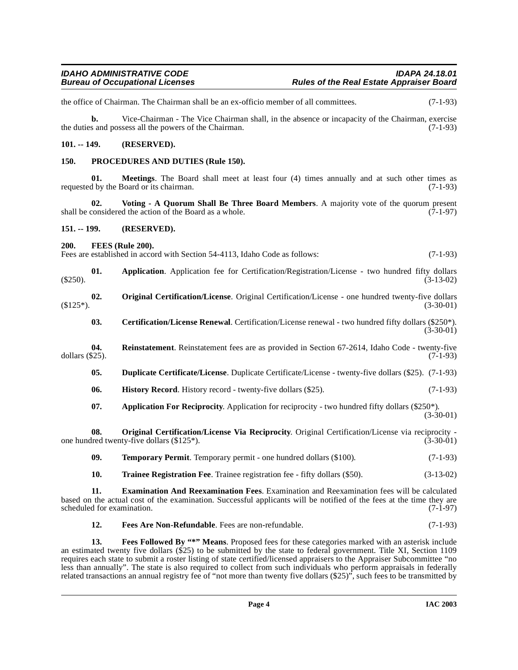the office of Chairman. The Chairman shall be an ex-officio member of all committees. (7-1-93)

**b.** Vice-Chairman - The Vice Chairman shall, in the absence or incapacity of the Chairman, exercise the duties and possess all the powers of the Chairman. (7-1-93)

## <span id="page-3-0"></span>**101. -- 149. (RESERVED).**

### <span id="page-3-14"></span><span id="page-3-1"></span>**150. PROCEDURES AND DUTIES (Rule 150).**

**01. Meetings**. The Board shall meet at least four (4) times annually and at such other times as requested by the Board or its chairman. (7-1-93)

<span id="page-3-18"></span>**02. Voting - A Quorum Shall Be Three Board Members**. A majority vote of the quorum present shall be considered the action of the Board as a whole. (7-1-97)

#### <span id="page-3-2"></span>**151. -- 199. (RESERVED).**

<span id="page-3-10"></span><span id="page-3-3"></span>**200. FEES (Rule 200).**

Fees are established in accord with Section 54-4113, Idaho Code as follows: (7-1-93)

- **01. Application**. Application fee for Certification/Registration/License two hundred fifty dollars (3-13-02)  $(3-13-02)$
- <span id="page-3-13"></span><span id="page-3-5"></span>**02.** Original Certification/License. Original Certification/License - one hundred twenty-five dollars (3-30-01)  $(3-30-01)$   $(3-30-01)$ 
	- **03. Certification/License Renewal**. Certification/License renewal two hundred fifty dollars (\$250\*).  $(3-30-01)$
- <span id="page-3-15"></span><span id="page-3-11"></span><span id="page-3-6"></span>**04.** Reinstatement. Reinstatement fees are as provided in Section 67-2614, Idaho Code - twenty-five dollars (\$25). dollars (\$25). (7-1-93)
	- **05. Duplicate Certificate/License**. Duplicate Certificate/License twenty-five dollars (\$25). (7-1-93)
	- **06. History Record**. History record twenty-five dollars (\$25). (7-1-93)
	- **07.** Application For Reciprocity. Application for reciprocity two hundred fifty dollars (\$250\*). (3-30-01)

**08. Original Certification/License Via Reciprocity**. Original Certification/License via reciprocity -<br>Ired twenty-five dollars (\$125\*). (3-30-01) one hundred twenty-five dollars  $(\$125*)$ .

- <span id="page-3-16"></span><span id="page-3-12"></span><span id="page-3-4"></span>**09. Temporary Permit**. Temporary permit - one hundred dollars (\$100). (7-1-93)
- <span id="page-3-17"></span><span id="page-3-7"></span>**10. Trainee Registration Fee**. Trainee registration fee - fifty dollars (\$50). (3-13-02)

**11. Examination And Reexamination Fees**. Examination and Reexamination fees will be calculated based on the actual cost of the examination. Successful applicants will be notified of the fees at the time they are scheduled for examination.

<span id="page-3-9"></span><span id="page-3-8"></span>**12. Fees Are Non-Refundable**. Fees are non-refundable. (7-1-93)

**13. Fees Followed By "\*" Means**. Proposed fees for these categories marked with an asterisk include an estimated twenty five dollars (\$25) to be submitted by the state to federal government. Title XI, Section 1109 requires each state to submit a roster listing of state certified/licensed appraisers to the Appraiser Subcommittee "no less than annually". The state is also required to collect from such individuals who perform appraisals in federally related transactions an annual registry fee of "not more than twenty five dollars (\$25)", such fees to be transmitted by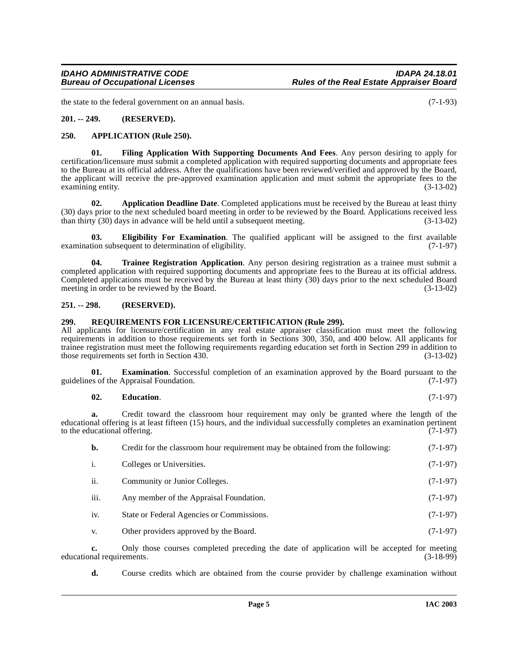the state to the federal government on an annual basis. (7-1-93)

## <span id="page-4-0"></span>**201. -- 249. (RESERVED).**

#### <span id="page-4-5"></span><span id="page-4-1"></span>**250. APPLICATION (Rule 250).**

<span id="page-4-8"></span>**01. Filing Application With Supporting Documents And Fees**. Any person desiring to apply for certification/licensure must submit a completed application with required supporting documents and appropriate fees to the Bureau at its official address. After the qualifications have been reviewed/verified and approved by the Board, the applicant will receive the pre-approved examination application and must submit the appropriate fees to the examining entity. (3-13-02)

<span id="page-4-4"></span>**02. Application Deadline Date**. Completed applications must be received by the Bureau at least thirty (30) days prior to the next scheduled board meeting in order to be reviewed by the Board. Applications received less than thirty (30) days in advance will be held until a subsequent meeting. (3-13-02)

<span id="page-4-7"></span>**03. Eligibility For Examination**. The qualified applicant will be assigned to the first available tion subsequent to determination of eligibility. (7-1-97) examination subsequent to determination of eligibility.

<span id="page-4-10"></span>**Trainee Registration Application**. Any person desiring registration as a trainee must submit a completed application with required supporting documents and appropriate fees to the Bureau at its official address. Completed applications must be received by the Bureau at least thirty (30) days prior to the next scheduled Board meeting in order to be reviewed by the Board. (3-13-02) meeting in order to be reviewed by the Board.

### <span id="page-4-2"></span>**251. -- 298. (RESERVED).**

### <span id="page-4-9"></span><span id="page-4-3"></span>**299. REQUIREMENTS FOR LICENSURE/CERTIFICATION (Rule 299).**

All applicants for licensure/certification in any real estate appraiser classification must meet the following requirements in addition to those requirements set forth in Sections 300, 350, and 400 below. All applicants for trainee registration must meet the following requirements regarding education set forth in Section 299 in addition to those requirements set forth in Section 430. (3-13-02)

**01. Examination**. Successful completion of an examination approved by the Board pursuant to the ss of the Appraisal Foundation. (7-1-97) guidelines of the Appraisal Foundation.

### <span id="page-4-6"></span>**02. Education**. (7-1-97)

**a.** Credit toward the classroom hour requirement may only be granted where the length of the educational offering is at least fifteen (15) hours, and the individual successfully completes an examination pertinent to the educational offering. (7-1-97) to the educational offering.

| b.   | Credit for the classroom hour requirement may be obtained from the following: | $(7-1-97)$ |
|------|-------------------------------------------------------------------------------|------------|
| 1.   | Colleges or Universities.                                                     | $(7-1-97)$ |
| ii.  | Community or Junior Colleges.                                                 | $(7-1-97)$ |
| iii. | Any member of the Appraisal Foundation.                                       | $(7-1-97)$ |
| iv.  | State or Federal Agencies or Commissions.                                     | $(7-1-97)$ |
| V.   | Other providers approved by the Board.                                        | $(7-1-97)$ |

**c.** Only those courses completed preceding the date of application will be accepted for meeting nal requirements. (3-18-99) educational requirements.

**d.** Course credits which are obtained from the course provider by challenge examination without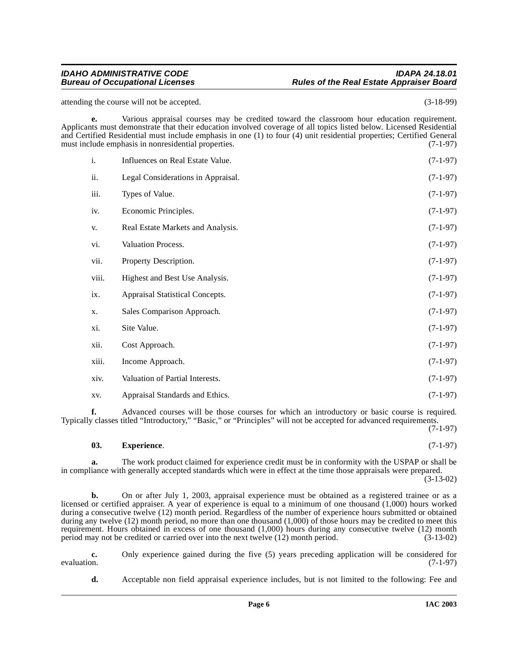### **IDAHO ADMINISTRATIVE CODE IDAPA 24.18.01 Rules of the Real Estate Appraiser Board**

attending the course will not be accepted. (3-18-99)

**e.** Various appraisal courses may be credited toward the classroom hour education requirement. Applicants must demonstrate that their education involved coverage of all topics listed below. Licensed Residential and Certified Residential must include emphasis in one (1) to four (4) unit residential properties; Certified General must include emphasis in nonresidential properties.  $(7-1-97)$ must include emphasis in nonresidential properties.

| i.    | Influences on Real Estate Value.   | $(7-1-97)$ |
|-------|------------------------------------|------------|
| ii.   | Legal Considerations in Appraisal. | $(7-1-97)$ |
| iii.  | Types of Value.                    | $(7-1-97)$ |
| iv.   | Economic Principles.               | $(7-1-97)$ |
| V.    | Real Estate Markets and Analysis.  | $(7-1-97)$ |
| vi.   | Valuation Process.                 | $(7-1-97)$ |
| vii.  | Property Description.              | $(7-1-97)$ |
| viii. | Highest and Best Use Analysis.     | $(7-1-97)$ |
| ix.   | Appraisal Statistical Concepts.    | $(7-1-97)$ |
| X.    | Sales Comparison Approach.         | $(7-1-97)$ |
| xi.   | Site Value.                        | $(7-1-97)$ |
| xii.  | Cost Approach.                     | $(7-1-97)$ |
| xiii. | Income Approach.                   | $(7-1-97)$ |
| xiv.  | Valuation of Partial Interests.    | $(7-1-97)$ |
| XV.   | Appraisal Standards and Ethics.    | $(7-1-97)$ |

**f.** Advanced courses will be those courses for which an introductory or basic course is required. Typically classes titled "Introductory," "Basic," or "Principles" will not be accepted for advanced requirements.

<span id="page-5-0"></span>(7-1-97)

# **03.** Experience. (7-1-97)

**a.** The work product claimed for experience credit must be in conformity with the USPAP or shall be in compliance with generally accepted standards which were in effect at the time those appraisals were prepared.  $(3-13-02)$ 

**b.** On or after July 1, 2003, appraisal experience must be obtained as a registered trainee or as a licensed or certified appraiser. A year of experience is equal to a minimum of one thousand (1,000) hours worked during a consecutive twelve (12) month period. Regardless of the number of experience hours submitted or obtained during any twelve (12) month period, no more than one thousand (1,000) of those hours may be credited to meet this requirement. Hours obtained in excess of one thousand (1,000) hours during any consecutive twelve (12) month period may not be credited or carried over into the next twelve (12) month period. (3-13-02)

**c.** Only experience gained during the five (5) years preceding application will be considered for evaluation. (7-1-97) evaluation.  $(7-1-97)$ 

**d.** Acceptable non field appraisal experience includes, but is not limited to the following: Fee and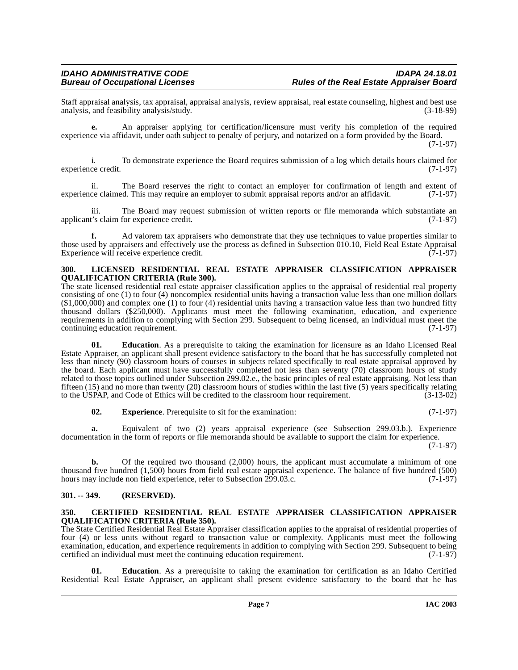Staff appraisal analysis, tax appraisal, appraisal analysis, review appraisal, real estate counseling, highest and best use analysis, and feasibility analysis/study.

**e.** An appraiser applying for certification/licensure must verify his completion of the required experience via affidavit, under oath subject to penalty of perjury, and notarized on a form provided by the Board. (7-1-97)

i. To demonstrate experience the Board requires submission of a log which details hours claimed for experience credit. (7-1-97)

ii. The Board reserves the right to contact an employer for confirmation of length and extent of ce claimed. This may require an employer to submit appraisal reports and/or an affidavit. (7-1-97) experience claimed. This may require an employer to submit appraisal reports and/or an affidavit.

iii. The Board may request submission of written reports or file memoranda which substantiate an t's claim for experience credit. (7-1-97) applicant's claim for experience credit.

**f.** Ad valorem tax appraisers who demonstrate that they use techniques to value properties similar to those used by appraisers and effectively use the process as defined in Subsection 010.10, Field Real Estate Appraisal Experience will receive experience credit. Experience will receive experience credit.

#### <span id="page-6-4"></span><span id="page-6-0"></span>**300. LICENSED RESIDENTIAL REAL ESTATE APPRAISER CLASSIFICATION APPRAISER QUALIFICATION CRITERIA (Rule 300).**

The state licensed residential real estate appraiser classification applies to the appraisal of residential real property consisting of one (1) to four (4) noncomplex residential units having a transaction value less than one million dollars  $(1,000,000)$  and complex one (1) to four (4) residential units having a transaction value less than two hundred fifty thousand dollars (\$250,000). Applicants must meet the following examination, education, and experience requirements in addition to complying with Section 299. Subsequent to being licensed, an individual must meet the continuing education requirement. (7-1-97)

**01. Education**. As a prerequisite to taking the examination for licensure as an Idaho Licensed Real Estate Appraiser, an applicant shall present evidence satisfactory to the board that he has successfully completed not less than ninety (90) classroom hours of courses in subjects related specifically to real estate appraisal approved by the board. Each applicant must have successfully completed not less than seventy (70) classroom hours of study related to those topics outlined under Subsection 299.02.e., the basic principles of real estate appraising. Not less than fifteen (15) and no more than twenty (20) classroom hours of studies within the last five (5) years specifically relating to the USPAP, and Code of Ethics will be credited to the classroom hour requirement.  $(3-13-02)$ to the USPAP, and Code of Ethics will be credited to the classroom hour requirement.

**02.** Experience. Prerequisite to sit for the examination: (7-1-97)

**a.** Equivalent of two (2) years appraisal experience (see Subsection 299.03.b.). Experience documentation in the form of reports or file memoranda should be available to support the claim for experience.

(7-1-97)

**b.** Of the required two thousand (2,000) hours, the applicant must accumulate a minimum of one thousand five hundred (1,500) hours from field real estate appraisal experience. The balance of five hundred (500) hours may include non field experience, refer to Subsection 299.03.c. (7-1-97) hours may include non field experience, refer to Subsection 299.03.c.

# <span id="page-6-1"></span>**301. -- 349. (RESERVED).**

#### <span id="page-6-3"></span><span id="page-6-2"></span>**350. CERTIFIED RESIDENTIAL REAL ESTATE APPRAISER CLASSIFICATION APPRAISER QUALIFICATION CRITERIA (Rule 350).**

The State Certified Residential Real Estate Appraiser classification applies to the appraisal of residential properties of four (4) or less units without regard to transaction value or complexity. Applicants must meet the following examination, education, and experience requirements in addition to complying with Section 299. Subsequent to being certified an individual must meet the continuing education requirement. (7-1-97) certified an individual must meet the continuing education requirement.

**01. Education**. As a prerequisite to taking the examination for certification as an Idaho Certified Residential Real Estate Appraiser, an applicant shall present evidence satisfactory to the board that he has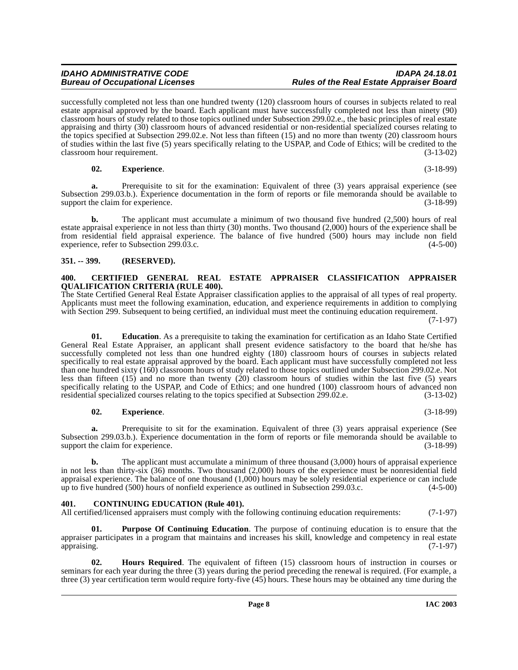successfully completed not less than one hundred twenty (120) classroom hours of courses in subjects related to real estate appraisal approved by the board. Each applicant must have successfully completed not less than ninety (90) classroom hours of study related to those topics outlined under Subsection 299.02.e., the basic principles of real estate appraising and thirty (30) classroom hours of advanced residential or non-residential specialized courses relating to the topics specified at Subsection 299.02.e. Not less than fifteen (15) and no more than twenty (20) classroom hours of studies within the last five (5) years specifically relating to the USPAP, and Code of Ethics; will be credited to the classroom hour requirement. (3-13-02) classroom hour requirement.

# **02. Experience**. (3-18-99)

**a.** Prerequisite to sit for the examination: Equivalent of three (3) years appraisal experience (see Subsection 299.03.b.). Experience documentation in the form of reports or file memoranda should be available to support the claim for experience. (3-18-99)

**b.** The applicant must accumulate a minimum of two thousand five hundred (2,500) hours of real estate appraisal experience in not less than thirty (30) months. Two thousand (2,000) hours of the experience shall be from residential field appraisal experience. The balance of five hundred (500) hours may include non field experience, refer to Subsection 299.03.c. (4-5-00)

# <span id="page-7-0"></span>**351. -- 399. (RESERVED).**

#### <span id="page-7-3"></span><span id="page-7-1"></span>**400. CERTIFIED GENERAL REAL ESTATE APPRAISER CLASSIFICATION APPRAISER QUALIFICATION CRITERIA (RULE 400).**

The State Certified General Real Estate Appraiser classification applies to the appraisal of all types of real property. Applicants must meet the following examination, education, and experience requirements in addition to complying with Section 299. Subsequent to being certified, an individual must meet the continuing education requirement. (7-1-97)

**01. Education**. As a prerequisite to taking the examination for certification as an Idaho State Certified General Real Estate Appraiser, an applicant shall present evidence satisfactory to the board that he/she has successfully completed not less than one hundred eighty (180) classroom hours of courses in subjects related specifically to real estate appraisal approved by the board. Each applicant must have successfully completed not less than one hundred sixty (160) classroom hours of study related to those topics outlined under Subsection 299.02.e. Not less than fifteen (15) and no more than twenty (20) classroom hours of studies within the last five (5) years specifically relating to the USPAP, and Code of Ethics; and one hundred (100) classroom hours of advanced non<br>residential specialized courses relating to the topics specified at Subsection 299.02.e. (3-13-02) residential specialized courses relating to the topics specified at Subsection 299.02.e.

# **02. Experience**. (3-18-99)

**a.** Prerequisite to sit for the examination. Equivalent of three (3) years appraisal experience (See Subsection 299.03.b.). Experience documentation in the form of reports or file memoranda should be available to support the claim for experience. (3-18-99) support the claim for experience.

**b.** The applicant must accumulate a minimum of three thousand (3,000) hours of appraisal experience in not less than thirty-six (36) months. Two thousand (2,000) hours of the experience must be nonresidential field appraisal experience. The balance of one thousand  $(1,000)$  hours may be solely residential experience or can include up to five hundred  $(500)$  hours of nonfield experience as outlined in Subsection 299.03.c.  $(4-5-00)$ up to five hundred  $(500)$  hours of nonfield experience as outlined in Subsection 299.03.c.

# <span id="page-7-4"></span><span id="page-7-2"></span>**401. CONTINUING EDUCATION (Rule 401).**

All certified/licensed appraisers must comply with the following continuing education requirements: (7-1-97)

<span id="page-7-6"></span>**01. Purpose Of Continuing Education**. The purpose of continuing education is to ensure that the appraiser participates in a program that maintains and increases his skill, knowledge and competency in real estate appraising. (7-1-97)

<span id="page-7-5"></span>**02. Hours Required**. The equivalent of fifteen (15) classroom hours of instruction in courses or seminars for each year during the three (3) years during the period preceding the renewal is required. (For example, a three (3) year certification term would require forty-five (45) hours. These hours may be obtained any time during the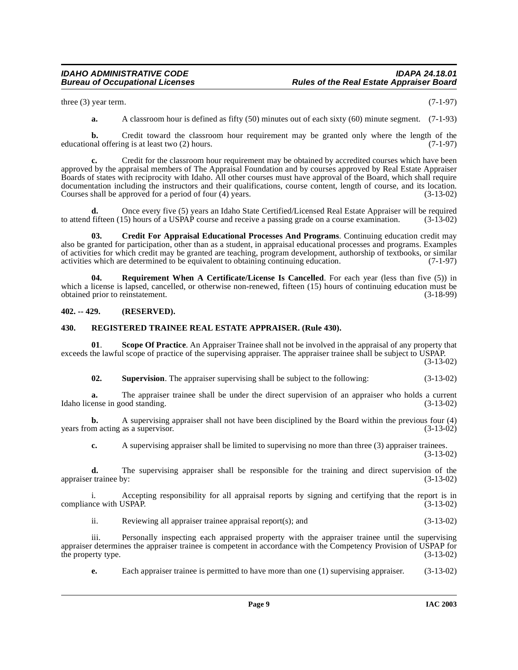three (3) year term.  $(7-1-97)$ 

**a.** A classroom hour is defined as fifty (50) minutes out of each sixty (60) minute segment. (7-1-93)

**b.** Credit toward the classroom hour requirement may be granted only where the length of the nal offering is at least two (2) hours. (7-1-97) educational offering is at least two (2) hours.

**c.** Credit for the classroom hour requirement may be obtained by accredited courses which have been approved by the appraisal members of The Appraisal Foundation and by courses approved by Real Estate Appraiser Boards of states with reciprocity with Idaho. All other courses must have approval of the Board, which shall require documentation including the instructors and their qualifications, course content, length of course, and its location.<br>Courses shall be approved for a period of four (4) years. (3-13-02) Courses shall be approved for a period of four  $(4)$  years.

**d.** Once every five (5) years an Idaho State Certified/Licensed Real Estate Appraiser will be required fifteen (15) hours of a USPAP course and receive a passing grade on a course examination. (3-13-02) to attend fifteen  $(15)$  hours of a USPAP course and receive a passing grade on a course examination.

<span id="page-8-2"></span>**03. Credit For Appraisal Educational Processes And Programs**. Continuing education credit may also be granted for participation, other than as a student, in appraisal educational processes and programs. Examples of activities for which credit may be granted are teaching, program development, authorship of textbooks, or similar activities which are determined to be equivalent to obtaining continuing education. (7-1-97)

<span id="page-8-4"></span>**04. Requirement When A Certificate/License Is Cancelled**. For each year (less than five (5)) in which a license is lapsed, cancelled, or otherwise non-renewed, fifteen (15) hours of continuing education must be obtained prior to reinstatement. (3-18-99)

# <span id="page-8-0"></span>**402. -- 429. (RESERVED).**

### <span id="page-8-3"></span><span id="page-8-1"></span>**430. REGISTERED TRAINEE REAL ESTATE APPRAISER. (Rule 430).**

**01**. **Scope Of Practice**. An Appraiser Trainee shall not be involved in the appraisal of any property that exceeds the lawful scope of practice of the supervising appraiser. The appraiser trainee shall be subject to USPAP.

(3-13-02)

<span id="page-8-5"></span>**02. Supervision**. The appraiser supervising shall be subject to the following: (3-13-02)

**a.** The appraiser trainee shall be under the direct supervision of an appraiser who holds a current ense in good standing. (3-13-02) Idaho license in good standing.

**b.** A supervising appraiser shall not have been disciplined by the Board within the previous four (4) m acting as a supervisor. (3-13-02) years from acting as a supervisor.

**c.** A supervising appraiser shall be limited to supervising no more than three (3) appraiser trainees. (3-13-02)

**d.** The supervising appraiser shall be responsible for the training and direct supervision of the training  $(3-13-02)$ appraiser trainee by:

i. Accepting responsibility for all appraisal reports by signing and certifying that the report is in compliance with USPAP. (3-13-02)

ii. Reviewing all appraiser trainee appraisal report(s); and (3-13-02)

iii. Personally inspecting each appraised property with the appraiser trainee until the supervising appraiser determines the appraiser trainee is competent in accordance with the Competency Provision of USPAP for<br>(3-13-02) the property type.

**e.** Each appraiser trainee is permitted to have more than one (1) supervising appraiser. (3-13-02)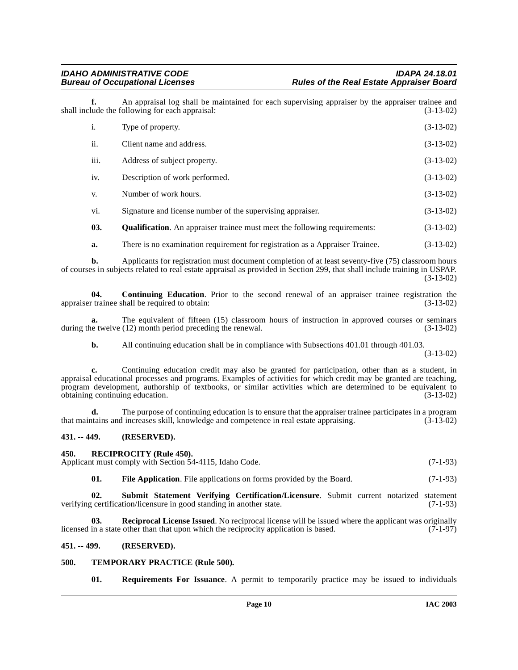**f.** An appraisal log shall be maintained for each supervising appraiser by the appraiser trainee and lude the following for each appraisal: (3-13-02) shall include the following for each appraisal:

| $\mathbf{i}$ . | Type of property.                                                                | $(3-13-02)$ |
|----------------|----------------------------------------------------------------------------------|-------------|
| ii.            | Client name and address.                                                         | $(3-13-02)$ |
| iii.           | Address of subject property.                                                     | $(3-13-02)$ |
| iv.            | Description of work performed.                                                   | $(3-13-02)$ |
| V.             | Number of work hours.                                                            | $(3-13-02)$ |
| vi.            | Signature and license number of the supervising appraiser.                       | $(3-13-02)$ |
| 03.            | <b>Qualification.</b> An appraiser trainee must meet the following requirements: | $(3-13-02)$ |
| a.             | There is no examination requirement for registration as a Appraiser Trainee.     | $(3-13-02)$ |

<span id="page-9-6"></span>**b.** Applicants for registration must document completion of at least seventy-five (75) classroom hours of courses in subjects related to real estate appraisal as provided in Section 299, that shall include training in USPAP. (3-13-02)

<span id="page-9-4"></span>**04. Continuing Education**. Prior to the second renewal of an appraiser trainee registration the appraiser trainee shall be required to obtain: (3-13-02)

**a.** The equivalent of fifteen (15) classroom hours of instruction in approved courses or seminars during the twelve (12) month period preceding the renewal. (3-13-02)

**b.** All continuing education shall be in compliance with Subsections 401.01 through 401.03.

(3-13-02)

**c.** Continuing education credit may also be granted for participation, other than as a student, in appraisal educational processes and programs. Examples of activities for which credit may be granted are teaching, program development, authorship of textbooks, or similar activities which are determined to be equivalent to obtaining continuing education. (3-13-02) obtaining continuing education.

**d.** The purpose of continuing education is to ensure that the appraiser trainee participates in a program trains and increases skill. knowledge and competence in real estate appraising. (3-13-02) that maintains and increases skill, knowledge and competence in real estate appraising. (3-13-02)

# <span id="page-9-0"></span>**431. -- 449. (RESERVED).**

#### <span id="page-9-8"></span><span id="page-9-1"></span>**450. RECIPROCITY (Rule 450).**

Applicant must comply with Section 54-4115, Idaho Code. (7-1-93)

<span id="page-9-10"></span><span id="page-9-7"></span><span id="page-9-5"></span>**01.** File Application. File applications on forms provided by the Board. (7-1-93)

**02. Submit Statement Verifying Certification/Licensure**. Submit current notarized statement verifying certification/licensure in good standing in another state. (7-1-93)

**03. Reciprocal License Issued**. No reciprocal license will be issued where the applicant was originally in a state other than that upon which the reciprocity application is based. (7-1-97) licensed in a state other than that upon which the reciprocity application is based.

#### <span id="page-9-2"></span>**451. -- 499. (RESERVED).**

#### <span id="page-9-3"></span>**500. TEMPORARY PRACTICE (Rule 500).**

<span id="page-9-11"></span><span id="page-9-9"></span>**01. Requirements For Issuance**. A permit to temporarily practice may be issued to individuals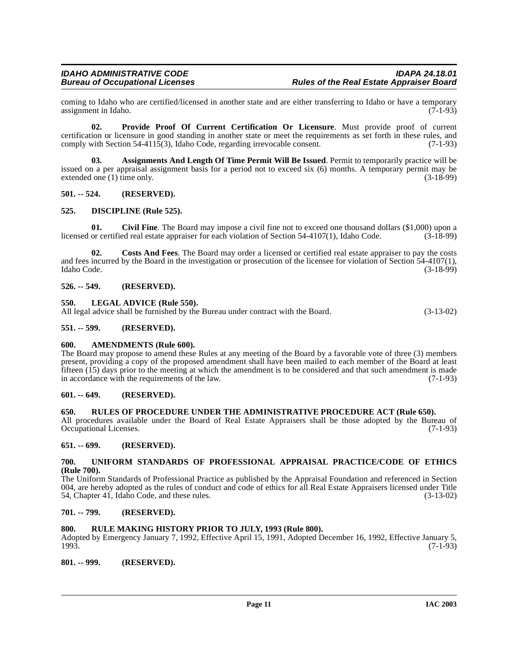coming to Idaho who are certified/licensed in another state and are either transferring to Idaho or have a temporary<br>(7-1-93) assignment in Idaho.

<span id="page-10-19"></span>**02. Provide Proof Of Current Certification Or Licensure**. Must provide proof of current certification or licensure in good standing in another state or meet the requirements as set forth in these rules, and comply with Section 54-4115(3), Idaho Code, regarding irrevocable consent. (7-1-93) comply with Section 54-4115(3), Idaho Code, regarding irrevocable consent.

<span id="page-10-14"></span>**03. Assignments And Length Of Time Permit Will Be Issued**. Permit to temporarily practice will be issued on a per appraisal assignment basis for a period not to exceed six (6) months. A temporary permit may be extended one (1) time only.  $(3-18-99)$ 

### <span id="page-10-0"></span>**501. -- 524. (RESERVED).**

### <span id="page-10-17"></span><span id="page-10-1"></span>**525. DISCIPLINE (Rule 525).**

<span id="page-10-15"></span>**01.** Civil Fine. The Board may impose a civil fine not to exceed one thousand dollars (\$1,000) upon a or certified real estate appraiser for each violation of Section 54-4107(1). Idaho Code. (3-18-99) licensed or certified real estate appraiser for each violation of Section 54-4107(1), Idaho Code.

<span id="page-10-16"></span>**02. Costs And Fees**. The Board may order a licensed or certified real estate appraiser to pay the costs and fees incurred by the Board in the investigation or prosecution of the licensee for violation of Section  $\frac{54-4107(1)}{3-18-99}$ , (3-18-99) Idaho Code. (3-18-99)

### <span id="page-10-2"></span>**526. -- 549. (RESERVED).**

#### <span id="page-10-18"></span><span id="page-10-3"></span>**550. LEGAL ADVICE (Rule 550).**

All legal advice shall be furnished by the Bureau under contract with the Board. (3-13-02)

### <span id="page-10-4"></span>**551. -- 599. (RESERVED).**

#### <span id="page-10-13"></span><span id="page-10-5"></span>**600. AMENDMENTS (Rule 600).**

The Board may propose to amend these Rules at any meeting of the Board by a favorable vote of three (3) members present, providing a copy of the proposed amendment shall have been mailed to each member of the Board at least fifteen (15) days prior to the meeting at which the amendment is to be considered and that such amendment is made in accordance with the requirements of the law. (7-1-93)

# <span id="page-10-6"></span>**601. -- 649. (RESERVED).**

### <span id="page-10-20"></span><span id="page-10-7"></span>**650. RULES OF PROCEDURE UNDER THE ADMINISTRATIVE PROCEDURE ACT (Rule 650).**

All procedures available under the Board of Real Estate Appraisers shall be those adopted by the Bureau of Occupational Licenses. (7-1-93) Occupational Licenses.

# <span id="page-10-8"></span>**651. -- 699. (RESERVED).**

#### <span id="page-10-21"></span><span id="page-10-9"></span>**700. UNIFORM STANDARDS OF PROFESSIONAL APPRAISAL PRACTICE/CODE OF ETHICS (Rule 700).**

The Uniform Standards of Professional Practice as published by the Appraisal Foundation and referenced in Section 004, are hereby adopted as the rules of conduct and code of ethics for all Real Estate Appraisers licensed under Title 54, Chapter 41, Idaho Code, and these rules.  $(3-13-02)$ 54, Chapter 41, Idaho Code, and these rules.

## <span id="page-10-10"></span>**701. -- 799. (RESERVED).**

# <span id="page-10-11"></span>**800. RULE MAKING HISTORY PRIOR TO JULY, 1993 (Rule 800).**

Adopted by Emergency January 7, 1992, Effective April 15, 1991, Adopted December 16, 1992, Effective January 5, 1993. (7-1-93)

#### <span id="page-10-12"></span>**801. -- 999. (RESERVED).**